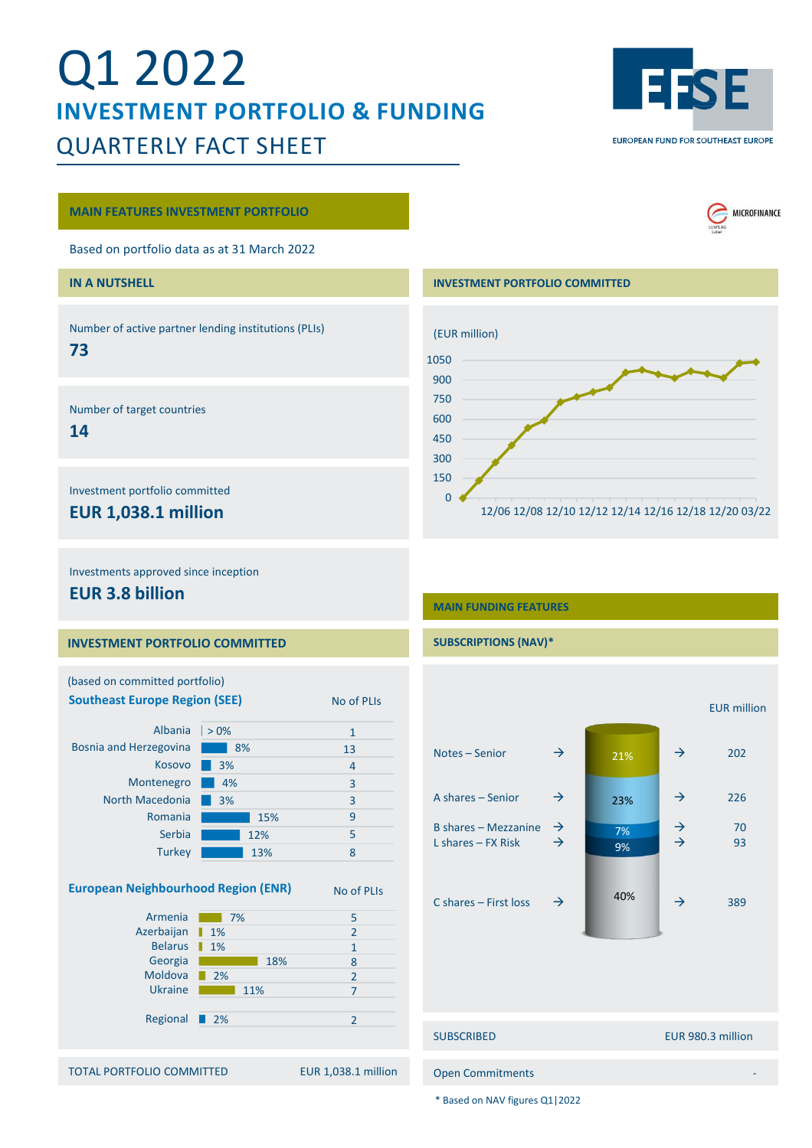# Q1 2022 **INVESTMENT PORTFOLIO & FUNDING** QUARTERLY FACT SHEET



MICROFINANCE

#### **MAIN FEATURES INVESTMENT PORTFOLIO**

Based on portfolio data as at 31 March 2022

## **IN A NUTSHELL**

Number of active partner lending institutions (PLIs)

# **73**

Number of target countries

# **14**

Investment portfolio committed

# **EUR 1,038.1 million**

#### **INVESTMENT PORTFOLIO COMMITTED**



Investments approved since inception

# **EUR 3.8 billion**

### **INVESTMENT PORTFOLIO COMMITTED**

| (based on committed portfolio)                        |                   |                     |                       |               |     |
|-------------------------------------------------------|-------------------|---------------------|-----------------------|---------------|-----|
| <b>Southeast Europe Region (SEE)</b>                  |                   | No of PLIs          |                       |               |     |
| Albania                                               | $> 0\%$           | $\mathbf{1}$        |                       |               |     |
| Bosnia and Herzegovina                                | 8%                | 13                  | Notes-Senior          | $\rightarrow$ | 21% |
| Kosovo                                                | 3%                | 4                   |                       |               |     |
| Montenegro                                            | 4%                | 3                   |                       |               |     |
| North Macedonia                                       | 3%                | 3                   | A shares - Senior     | $\rightarrow$ | 23% |
| Romania                                               | 15%               | 9                   |                       |               |     |
| Serbia                                                | 12%               | 5                   | B shares - Mezzanine  | $\rightarrow$ | 7%  |
| Turkey                                                | 13%               | 8                   | L shares $-$ FX Risk  | $\rightarrow$ | 9%  |
| <b>European Neighbourhood Region (ENR)</b><br>Armenia |                   | No of PLIs          | C shares - First loss | $\rightarrow$ | 40% |
| Azerbaijan                                            | 7%<br>1%          | 5<br>$\overline{2}$ |                       |               |     |
| Belarus                                               | 1%                | $\mathbf{1}$        |                       |               |     |
| Georgia                                               | 18%               | 8                   |                       |               |     |
| Moldova                                               | 2%                | $\overline{2}$      |                       |               |     |
| <b>Ukraine</b>                                        | 11%               | $\overline{7}$      |                       |               |     |
| Regional                                              | $\blacksquare$ 2% | $\overline{2}$      |                       |               |     |
|                                                       |                   |                     | <b>SUBSCRIBED</b>     |               |     |
|                                                       |                   |                     |                       |               |     |

TOTAL PORTFOLIO COMMITTED EUR 1,038.1 million

# **MAIN FUNDING FEATURES**

**SUBSCRIPTIONS (NAV)\***

# EUR million Notes – Senior  $\rightarrow$   $\rightarrow$  202 A shares – Senior  $\rightarrow$   $\rightarrow$  226 B shares – Mezzanine  $\begin{array}{ccc} \rightarrow & \rightarrow & \rightarrow & \rightarrow \\ \hline \end{array}$  10 L shares  $-$  FX Risk C shares – First loss  $\rightarrow$  40%  $\rightarrow$  389 SUBSCRIBED EUR 980.3 million Open Commitments - 9% 7% 23% 21%

\* Based on NAV figures Q1|2022